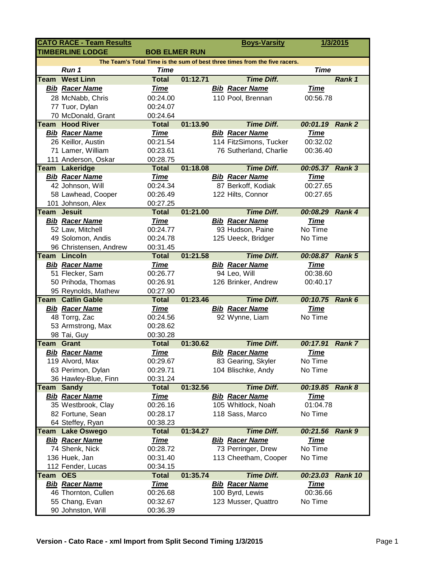|                                                                            | <b>CATO RACE - Team Results</b> |                          |          |  | <b>Boys-Varsity</b>    |                 | 1/3/2015      |
|----------------------------------------------------------------------------|---------------------------------|--------------------------|----------|--|------------------------|-----------------|---------------|
| <b>TIMBERLINE LODGE</b><br><b>BOB ELMER RUN</b>                            |                                 |                          |          |  |                        |                 |               |
| The Team's Total Time is the sum of best three times from the five racers. |                                 |                          |          |  |                        |                 |               |
|                                                                            | Run 1                           | <b>Time</b>              |          |  |                        | <b>Time</b>     |               |
| Team                                                                       | <b>West Linn</b>                | <b>Total</b>             | 01:12.71 |  | <b>Time Diff.</b>      |                 | Rank 1        |
|                                                                            | <b>Bib Racer Name</b>           | <b>Time</b>              |          |  | <b>Bib Racer Name</b>  | <b>Time</b>     |               |
|                                                                            | 28 McNabb, Chris                | 00:24.00                 |          |  | 110 Pool, Brennan      | 00:56.78        |               |
|                                                                            | 77 Tuor, Dylan                  | 00:24.07                 |          |  |                        |                 |               |
|                                                                            | 70 McDonald, Grant              | 00:24.64                 |          |  |                        |                 |               |
|                                                                            | <b>Team Hood River</b>          | <b>Total</b>             | 01:13.90 |  | <b>Time Diff.</b>      | 00:01.19 Rank 2 |               |
|                                                                            | <b>Bib Racer Name</b>           | <b>Time</b>              |          |  | <b>Bib Racer Name</b>  | <b>Time</b>     |               |
|                                                                            | 26 Keillor, Austin              | 00:21.54                 |          |  | 114 FitzSimons, Tucker | 00:32.02        |               |
|                                                                            | 71 Lamer, William               | 00:23.61                 |          |  | 76 Sutherland, Charlie | 00:36.40        |               |
|                                                                            | 111 Anderson, Oskar             | 00:28.75                 |          |  |                        |                 |               |
|                                                                            | <b>Team Lakeridge</b>           | <b>Total</b>             | 01:18.08 |  | <b>Time Diff.</b>      | 00:05.37 Rank 3 |               |
|                                                                            | <b>Bib Racer Name</b>           | <u>Time</u>              |          |  | <b>Bib Racer Name</b>  | <b>Time</b>     |               |
|                                                                            | 42 Johnson, Will                | 00:24.34                 |          |  | 87 Berkoff, Kodiak     | 00:27.65        |               |
|                                                                            | 58 Lawhead, Cooper              | 00:26.49                 |          |  | 122 Hilts, Connor      | 00:27.65        |               |
|                                                                            | 101 Johnson, Alex               | 00:27.25                 |          |  |                        |                 |               |
|                                                                            | <b>Team Jesuit</b>              | <b>Total</b>             | 01:21.00 |  | <b>Time Diff.</b>      | 00:08.29        | Rank 4        |
|                                                                            | <b>Bib Racer Name</b>           | <b>Time</b>              |          |  | <b>Bib Racer Name</b>  | <b>Time</b>     |               |
|                                                                            | 52 Law, Mitchell                | 00:24.77                 |          |  | 93 Hudson, Paine       | No Time         |               |
|                                                                            | 49 Solomon, Andis               | 00:24.78                 |          |  | 125 Ueeck, Bridger     | No Time         |               |
|                                                                            | 96 Christensen, Andrew          | 00:31.45                 |          |  |                        |                 |               |
| Team                                                                       | Lincoln                         | <b>Total</b>             | 01:21.58 |  | <b>Time Diff.</b>      | 00:08.87 Rank 5 |               |
|                                                                            | <b>Bib Racer Name</b>           | <u>Time</u>              |          |  | <b>Bib Racer Name</b>  | <b>Time</b>     |               |
|                                                                            | 51 Flecker, Sam                 | 00:26.77                 |          |  | 94 Leo, Will           | 00:38.60        |               |
|                                                                            | 50 Prihoda, Thomas              | 00:26.91                 |          |  | 126 Brinker, Andrew    | 00:40.17        |               |
|                                                                            | 95 Reynolds, Mathew             | 00:27.90                 |          |  |                        |                 |               |
|                                                                            | <b>Team Catlin Gable</b>        | <b>Total</b>             | 01:23.46 |  | <b>Time Diff.</b>      | 00:10.75        | Rank 6        |
|                                                                            | <b>Bib Racer Name</b>           | Time                     |          |  | <b>Bib Racer Name</b>  | <b>Time</b>     |               |
|                                                                            | 48 Torrg, Zac                   | 00:24.56                 |          |  | 92 Wynne, Liam         | No Time         |               |
|                                                                            | 53 Armstrong, Max               | 00:28.62                 |          |  |                        |                 |               |
|                                                                            | 98 Tai, Guy                     | 00:30.28                 |          |  |                        |                 |               |
|                                                                            | <b>Team Grant</b>               | <b>Total</b>             | 01:30.62 |  | <b>Time Diff.</b>      | 00:17.91        | <b>Rank 7</b> |
|                                                                            | <b>Bib Racer Name</b>           | <b>Time</b>              |          |  | <b>Bib Racer Name</b>  | <b>Time</b>     |               |
|                                                                            | 119 Alvord, Max                 | 00:29.67                 |          |  | 83 Gearing, Skyler     | No Time         |               |
|                                                                            | 63 Perimon, Dylan               | 00:29.71                 |          |  | 104 Blischke, Andy     | No Time         |               |
|                                                                            | 36 Hawley-Blue, Finn            | 00:31.24                 |          |  |                        |                 |               |
| Team                                                                       | <b>Sandy</b>                    | <b>Total</b>             | 01:32.56 |  | <b>Time Diff.</b>      | 00:19.85        | <b>Rank 8</b> |
|                                                                            | <b>Bib Racer Name</b>           | <u>Time</u>              |          |  | <b>Bib Racer Name</b>  | <b>Time</b>     |               |
|                                                                            | 35 Westbrook, Clay              | 00:26.16                 |          |  | 105 Whitlock, Noah     | 01:04.78        |               |
|                                                                            | 82 Fortune, Sean                | 00:28.17                 |          |  | 118 Sass, Marco        | No Time         |               |
|                                                                            | 64 Steffey, Ryan                | 00:38.23                 |          |  |                        |                 |               |
| Team                                                                       | <b>Lake Oswego</b>              | <b>Total</b>             | 01:34.27 |  | <b>Time Diff.</b>      | 00:21.56        | Rank 9        |
|                                                                            | <b>Bib Racer Name</b>           | <u>Time</u>              |          |  | <b>Bib Racer Name</b>  | <b>Time</b>     |               |
|                                                                            | 74 Shenk, Nick                  | 00:28.72                 |          |  | 73 Perringer, Drew     | No Time         |               |
|                                                                            | 136 Huek, Jan                   | 00:31.40                 |          |  | 113 Cheetham, Cooper   | No Time         |               |
| Team OES                                                                   | 112 Fender, Lucas               | 00:34.15<br><b>Total</b> | 01:35.74 |  | <b>Time Diff.</b>      | 00:23.03        | Rank 10       |
|                                                                            | <b>Bib Racer Name</b>           | <u>Time</u>              |          |  | <b>Bib Racer Name</b>  | <u>Time</u>     |               |
|                                                                            | 46 Thornton, Cullen             | 00:26.68                 |          |  | 100 Byrd, Lewis        | 00:36.66        |               |
|                                                                            | 55 Chang, Evan                  | 00:32.67                 |          |  | 123 Musser, Quattro    | No Time         |               |
|                                                                            | 90 Johnston, Will               |                          |          |  |                        |                 |               |
|                                                                            |                                 | 00:36.39                 |          |  |                        |                 |               |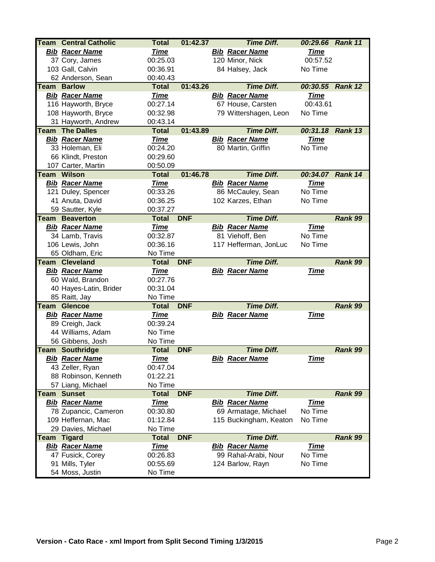|      | <b>Team Central Catholic</b>       | <b>Total</b>        | 01:42.37   | <b>Time Diff.</b>      | 00:29.66 Rank 11 |         |
|------|------------------------------------|---------------------|------------|------------------------|------------------|---------|
|      | <b>Bib Racer Name</b>              | <b>Time</b>         |            | <b>Bib Racer Name</b>  | <b>Time</b>      |         |
|      | 37 Cory, James                     | 00:25.03            |            | 120 Minor, Nick        | 00:57.52         |         |
|      | 103 Gall, Calvin                   | 00:36.91            |            | 84 Halsey, Jack        | No Time          |         |
|      | 62 Anderson, Sean                  | 00:40.43            |            |                        |                  |         |
| Team | <b>Barlow</b>                      | <b>Total</b>        | 01:43.26   | <b>Time Diff.</b>      | 00:30.55 Rank 12 |         |
|      | <b>Bib Racer Name</b>              | <b>Time</b>         |            | <b>Bib Racer Name</b>  | <b>Time</b>      |         |
|      | 116 Hayworth, Bryce                | 00:27.14            |            | 67 House, Carsten      | 00:43.61         |         |
|      | 108 Hayworth, Bryce                | 00:32.98            |            | 79 Wittershagen, Leon  | No Time          |         |
|      | 31 Hayworth, Andrew                | 00:43.14            |            |                        |                  |         |
|      | <b>Team The Dalles</b>             | <b>Total</b>        | 01:43.89   | <b>Time Diff.</b>      | 00:31.18 Rank 13 |         |
|      | <b>Bib Racer Name</b>              | <u>Time</u>         |            | <b>Bib Racer Name</b>  | <u>Time</u>      |         |
|      | 33 Holeman, Eli                    | 00:24.20            |            | 80 Martin, Griffin     | No Time          |         |
|      | 66 Klindt, Preston                 | 00:29.60            |            |                        |                  |         |
|      | 107 Carter, Martin                 | 00:50.09            |            |                        |                  |         |
|      | <b>Team Wilson</b>                 | <b>Total</b>        | 01:46.78   | <b>Time Diff.</b>      | 00:34.07 Rank 14 |         |
|      | <b>Bib Racer Name</b>              | <b>Time</b>         |            | <b>Bib Racer Name</b>  | <u>Time</u>      |         |
|      | 121 Duley, Spencer                 | 00:33.26            |            | 86 McCauley, Sean      | No Time          |         |
|      | 41 Anuta, David                    | 00:36.25            |            | 102 Karzes, Ethan      | No Time          |         |
|      | 59 Sautter, Kyle                   | 00:37.27            |            |                        |                  |         |
|      | <b>Team Beaverton</b>              | <b>Total</b>        | <b>DNF</b> | <b>Time Diff.</b>      |                  | Rank 99 |
|      | <b>Bib Racer Name</b>              | <b>Time</b>         |            | <b>Bib Racer Name</b>  | <b>Time</b>      |         |
|      | 34 Lamb, Travis                    | 00:32.87            |            | 81 Viehoff, Ben        | No Time          |         |
|      | 106 Lewis, John                    | 00:36.16            |            | 117 Hefferman, JonLuc  | No Time          |         |
|      | 65 Oldham, Eric                    | No Time             |            |                        |                  |         |
|      |                                    |                     |            |                        |                  |         |
|      | <b>Team Cleveland</b>              | <b>Total</b>        | <b>DNF</b> | <b>Time Diff.</b>      |                  | Rank 99 |
|      | <b>Bib Racer Name</b>              | <b>Time</b>         |            | <b>Bib Racer Name</b>  | <b>Time</b>      |         |
|      | 60 Wald, Brandon                   | 00:27.76            |            |                        |                  |         |
|      | 40 Hayes-Latin, Brider             | 00:31.04            |            |                        |                  |         |
|      | 85 Raitt, Jay                      | No Time             |            |                        |                  |         |
| Team | <b>Glencoe</b>                     | <b>Total</b>        | <b>DNF</b> | <b>Time Diff.</b>      |                  | Rank 99 |
|      | <b>Bib Racer Name</b>              | <b>Time</b>         |            | <b>Bib Racer Name</b>  | <b>Time</b>      |         |
|      | 89 Creigh, Jack                    | 00:39.24            |            |                        |                  |         |
|      | 44 Williams, Adam                  | No Time             |            |                        |                  |         |
|      | 56 Gibbens, Josh                   | No Time             |            |                        |                  |         |
|      | <b>Team Southridge</b>             | <b>Total</b>        | <b>DNF</b> | <b>Time Diff.</b>      |                  | Rank 99 |
|      | <b>Bib Racer Name</b>              | <b>Time</b>         |            | <b>Bib Racer Name</b>  | <u>Time</u>      |         |
|      | 43 Zeller, Ryan                    | 00:47.04            |            |                        |                  |         |
|      | 88 Robinson, Kenneth               | 01:22.21            |            |                        |                  |         |
|      | 57 Liang, Michael                  | No Time             |            |                        |                  |         |
| Team | <b>Sunset</b>                      | <b>Total</b>        | <b>DNF</b> | <b>Time Diff.</b>      |                  | Rank 99 |
|      | <b>Bib Racer Name</b>              | <u>Time</u>         |            | <b>Bib Racer Name</b>  | <u>Time</u>      |         |
|      | 78 Zupancic, Cameron               | 00:30.80            |            | 69 Armatage, Michael   | No Time          |         |
|      | 109 Heffernan, Mac                 | 01:12.84            |            | 115 Buckingham, Keaton | No Time          |         |
|      | 29 Davies, Michael                 | No Time             |            |                        |                  |         |
| Team | <b>Tigard</b>                      | <b>Total</b>        | <b>DNF</b> | <b>Time Diff.</b>      |                  | Rank 99 |
|      | <b>Bib Racer Name</b>              | <u>Time</u>         |            | <b>Bib Racer Name</b>  | <u>Time</u>      |         |
|      | 47 Fusick, Corey                   | 00:26.83            |            | 99 Rahal-Arabi, Nour   | No Time          |         |
|      | 91 Mills, Tyler<br>54 Moss, Justin | 00:55.69<br>No Time |            | 124 Barlow, Rayn       | No Time          |         |